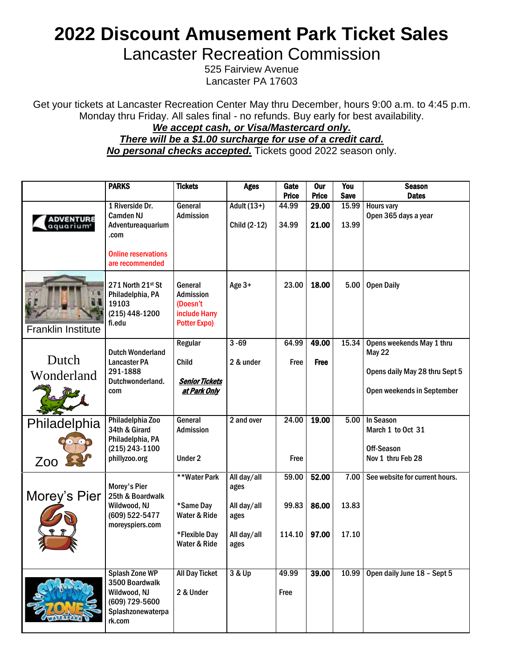## **2022 Discount Amusement Park Ticket Sales**

Lancaster Recreation Commission

525 Fairview Avenue Lancaster PA 17603

Get your tickets at Lancaster Recreation Center May thru December, hours 9:00 a.m. to 4:45 p.m. Monday thru Friday. All sales final - no refunds. Buy early for best availability.

## *We accept cash, or Visa/Mastercard only. There will be a \$1.00 surcharge for use of a credit card. No personal checks accepted.* Tickets good 2022 season only.

|                                           | <b>PARKS</b>                                                                                             | <b>Tickets</b>                                                                  | <b>Ages</b>                 | Gate<br><b>Price</b> | <b>Our</b><br><b>Price</b> | You<br><b>Save</b> | <b>Season</b><br><b>Dates</b>              |
|-------------------------------------------|----------------------------------------------------------------------------------------------------------|---------------------------------------------------------------------------------|-----------------------------|----------------------|----------------------------|--------------------|--------------------------------------------|
| <b>ADVENTURE</b><br>aquarium <sup>e</sup> | 1 Riverside Dr.<br><b>Camden NJ</b><br>Adventureaquarium<br>.com                                         | General<br><b>Admission</b>                                                     | Adult (13+)<br>Child (2-12) | 44.99<br>34.99       | 29.00<br>21.00             | 15.99<br>13.99     | <b>Hours vary</b><br>Open 365 days a year  |
|                                           | <b>Online reservations</b><br>are recommended                                                            |                                                                                 |                             |                      |                            |                    |                                            |
| <b>Franklin Institute</b>                 | 271 North 21st St<br>Philadelphia, PA<br>19103<br>(215) 448-1200<br>fi.edu                               | General<br><b>Admission</b><br>(Doesn't<br>include Harry<br><b>Potter Expo)</b> | Age 3+                      | 23.00                | 18.00                      | 5.00               | <b>Open Daily</b>                          |
|                                           | <b>Dutch Wonderland</b>                                                                                  | Regular                                                                         | $3 - 69$                    | 64.99                | 49.00                      | 15.34              | Opens weekends May 1 thru<br><b>May 22</b> |
| Dutch                                     | <b>Lancaster PA</b><br>291-1888                                                                          | Child                                                                           | 2 & under                   | Free                 | <b>Free</b>                |                    | Opens daily May 28 thru Sept 5             |
| Wonderland                                | Dutchwonderland.<br>com                                                                                  | <b>Senior Tickets</b><br>at Park Only                                           |                             |                      |                            |                    | Open weekends in September                 |
| Philadelphia                              | Philadelphia Zoo<br>34th & Girard                                                                        | General<br><b>Admission</b>                                                     | 2 and over                  | 24.00                | 19.00                      | 5.00               | <b>In Season</b><br>March 1 to Oct 31      |
|                                           | Philadelphia, PA<br>(215) 243-1100                                                                       |                                                                                 |                             |                      |                            |                    | Off-Season                                 |
| Zoo                                       | phillyzoo.org                                                                                            | Under 2                                                                         |                             | Free                 |                            |                    | Nov 1 thru Feb 28                          |
| Morey's Pier                              | Morey's Pier<br>25th & Boardwalk                                                                         | **Water Park                                                                    | All day/all<br>ages         | 59.00                | 52.00                      | 7.00               | See website for current hours.             |
|                                           | Wildwood, NJ<br>(609) 522-5477<br>moreyspiers.com                                                        | *Same Day<br>Water & Ride                                                       | All day/all<br>ages         | 99.83                | 86.00                      | 13.83              |                                            |
|                                           |                                                                                                          | *Flexible Day<br>Water & Ride                                                   | All day/all<br>ages         | 114.10               | 97.00                      | 17.10              |                                            |
|                                           | <b>Splash Zone WP</b><br>3500 Boardwalk<br>Wildwood, NJ<br>(609) 729-5600<br>Splashzonewaterpa<br>rk.com | <b>All Day Ticket</b><br>2 & Under                                              | 3 & Up                      | 49.99<br>Free        | 39.00                      | 10.99              | Open daily June 18 - Sept 5                |